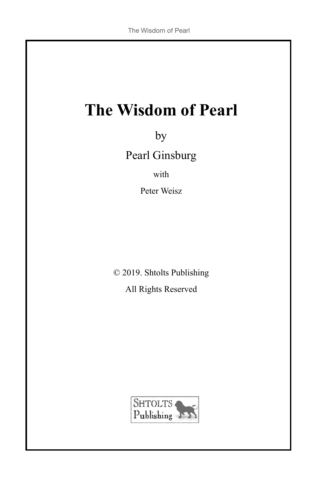# **The Wisdom of Pearl**

by Pearl Ginsburg

with

Peter Weisz

© 2019. Shtolts Publishing

All Rights Reserved

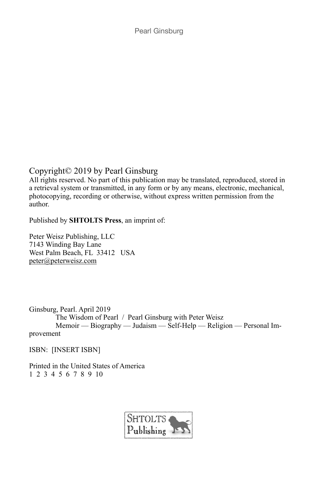Copyright© 2019 by Pearl Ginsburg

All rights reserved. No part of this publication may be translated, reproduced, stored in a retrieval system or transmitted, in any form or by any means, electronic, mechanical, photocopying, recording or otherwise, without express written permission from the author.

Published by **SHTOLTS Press**, an imprint of:

Peter Weisz Publishing, LLC 7143 Winding Bay Lane West Palm Beach, FL 33412 USA [peter@peterweisz.com](mailto:peter@peterweisz.com)

Ginsburg, Pearl. April 2019 The Wisdom of Pearl / Pearl Ginsburg with Peter Weisz Memoir — Biography — Judaism — Self-Help — Religion — Personal Improvement

ISBN: [INSERT ISBN]

Printed in the United States of America 1 2 3 4 5 6 7 8 9 10

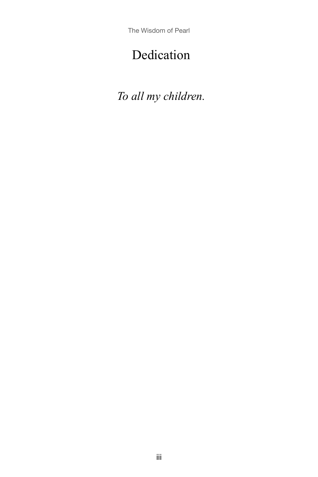The Wisdom of Pearl

# Dedication

*To all my children.*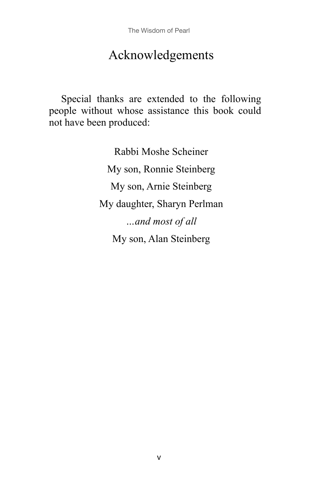# Acknowledgements

Special thanks are extended to the following people without whose assistance this book could not have been produced:

> Rabbi Moshe Scheiner My son, Ronnie Steinberg My son, Arnie Steinberg My daughter, Sharyn Perlman *…and most of all* My son, Alan Steinberg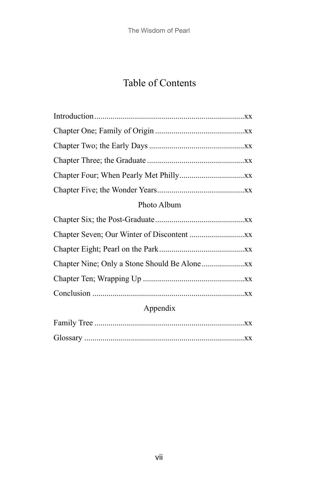## Table of Contents

| Photo Album |  |  |
|-------------|--|--|
|             |  |  |

## Appendix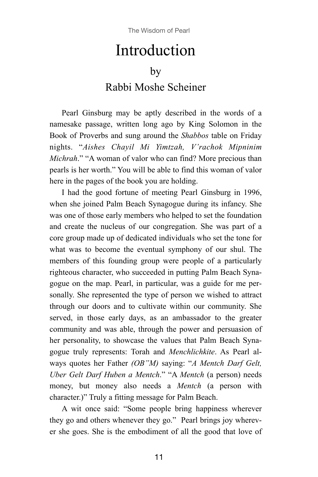# Introduction

### by

## Rabbi Moshe Scheiner

Pearl Ginsburg may be aptly described in the words of a namesake passage, written long ago by King Solomon in the Book of Proverbs and sung around the *Shabbos* table on Friday nights. "*Aishes Chayil Mi Yimtzah, V'rachok Mipninim Michrah*." "A woman of valor who can find? More precious than pearls is her worth." You will be able to find this woman of valor here in the pages of the book you are holding.

I had the good fortune of meeting Pearl Ginsburg in 1996, when she joined Palm Beach Synagogue during its infancy. She was one of those early members who helped to set the foundation and create the nucleus of our congregation. She was part of a core group made up of dedicated individuals who set the tone for what was to become the eventual symphony of our shul. The members of this founding group were people of a particularly righteous character, who succeeded in putting Palm Beach Synagogue on the map. Pearl, in particular, was a guide for me personally. She represented the type of person we wished to attract through our doors and to cultivate within our community. She served, in those early days, as an ambassador to the greater community and was able, through the power and persuasion of her personality, to showcase the values that Palm Beach Synagogue truly represents: Torah and *Menchlichkite*. As Pearl always quotes her Father *(OB"M)* saying: "*A Mentch Darf Gelt, Uber Gelt Darf Huben a Mentch*." "A *Mentch* (a person) needs money, but money also needs a *Mentch* (a person with character.)" Truly a fitting message for Palm Beach.

A wit once said: "Some people bring happiness wherever they go and others whenever they go." Pearl brings joy wherever she goes. She is the embodiment of all the good that love of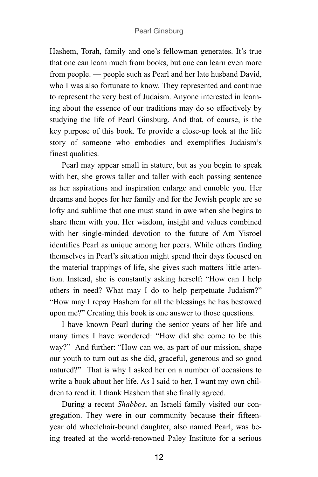Hashem, Torah, family and one's fellowman generates. It's true that one can learn much from books, but one can learn even more from people. — people such as Pearl and her late husband David, who I was also fortunate to know. They represented and continue to represent the very best of Judaism. Anyone interested in learning about the essence of our traditions may do so effectively by studying the life of Pearl Ginsburg. And that, of course, is the key purpose of this book. To provide a close-up look at the life story of someone who embodies and exemplifies Judaism's finest qualities.

Pearl may appear small in stature, but as you begin to speak with her, she grows taller and taller with each passing sentence as her aspirations and inspiration enlarge and ennoble you. Her dreams and hopes for her family and for the Jewish people are so lofty and sublime that one must stand in awe when she begins to share them with you. Her wisdom, insight and values combined with her single-minded devotion to the future of Am Yisroel identifies Pearl as unique among her peers. While others finding themselves in Pearl's situation might spend their days focused on the material trappings of life, she gives such matters little attention. Instead, she is constantly asking herself: "How can I help others in need? What may I do to help perpetuate Judaism?" "How may I repay Hashem for all the blessings he has bestowed upon me?" Creating this book is one answer to those questions.

I have known Pearl during the senior years of her life and many times I have wondered: "How did she come to be this way?" And further: "How can we, as part of our mission, shape our youth to turn out as she did, graceful, generous and so good natured?" That is why I asked her on a number of occasions to write a book about her life. As I said to her, I want my own children to read it. I thank Hashem that she finally agreed.

During a recent *Shabbos*, an Israeli family visited our congregation. They were in our community because their fifteenyear old wheelchair-bound daughter, also named Pearl, was being treated at the world-renowned Paley Institute for a serious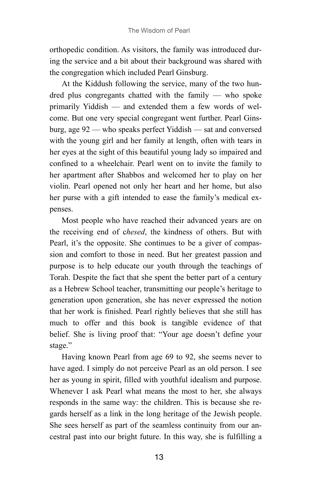orthopedic condition. As visitors, the family was introduced during the service and a bit about their background was shared with the congregation which included Pearl Ginsburg.

At the Kiddush following the service, many of the two hundred plus congregants chatted with the family — who spoke primarily Yiddish — and extended them a few words of welcome. But one very special congregant went further. Pearl Ginsburg, age 92 — who speaks perfect Yiddish — sat and conversed with the young girl and her family at length, often with tears in her eyes at the sight of this beautiful young lady so impaired and confined to a wheelchair. Pearl went on to invite the family to her apartment after Shabbos and welcomed her to play on her violin. Pearl opened not only her heart and her home, but also her purse with a gift intended to ease the family's medical expenses.

Most people who have reached their advanced years are on the receiving end of c*hesed*, the kindness of others. But with Pearl, it's the opposite. She continues to be a giver of compassion and comfort to those in need. But her greatest passion and purpose is to help educate our youth through the teachings of Torah. Despite the fact that she spent the better part of a century as a Hebrew School teacher, transmitting our people's heritage to generation upon generation, she has never expressed the notion that her work is finished. Pearl rightly believes that she still has much to offer and this book is tangible evidence of that belief. She is living proof that: "Your age doesn't define your stage."

Having known Pearl from age 69 to 92, she seems never to have aged. I simply do not perceive Pearl as an old person. I see her as young in spirit, filled with youthful idealism and purpose. Whenever I ask Pearl what means the most to her, she always responds in the same way: the children. This is because she regards herself as a link in the long heritage of the Jewish people. She sees herself as part of the seamless continuity from our ancestral past into our bright future. In this way, she is fulfilling a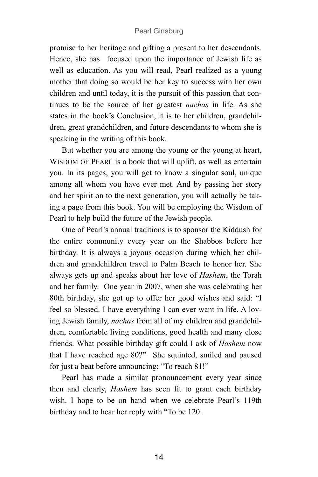promise to her heritage and gifting a present to her descendants. Hence, she has focused upon the importance of Jewish life as well as education. As you will read, Pearl realized as a young mother that doing so would be her key to success with her own children and until today, it is the pursuit of this passion that continues to be the source of her greatest *nachas* in life. As she states in the book's Conclusion, it is to her children, grandchildren, great grandchildren, and future descendants to whom she is speaking in the writing of this book.

But whether you are among the young or the young at heart, WISDOM OF PEARL is a book that will uplift, as well as entertain you. In its pages, you will get to know a singular soul, unique among all whom you have ever met. And by passing her story and her spirit on to the next generation, you will actually be taking a page from this book. You will be employing the Wisdom of Pearl to help build the future of the Jewish people.

One of Pearl's annual traditions is to sponsor the Kiddush for the entire community every year on the Shabbos before her birthday. It is always a joyous occasion during which her children and grandchildren travel to Palm Beach to honor her. She always gets up and speaks about her love of *Hashem*, the Torah and her family. One year in 2007, when she was celebrating her 80th birthday, she got up to offer her good wishes and said: "I feel so blessed. I have everything I can ever want in life. A loving Jewish family, *nachas* from all of my children and grandchildren, comfortable living conditions, good health and many close friends. What possible birthday gift could I ask of *Hashem* now that I have reached age 80?" She squinted, smiled and paused for just a beat before announcing: "To reach 81!"

Pearl has made a similar pronouncement every year since then and clearly, *Hashem* has seen fit to grant each birthday wish. I hope to be on hand when we celebrate Pearl's 119th birthday and to hear her reply with "To be 120.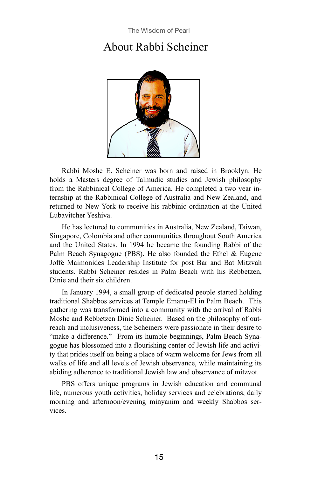## About Rabbi Scheiner



Rabbi Moshe E. Scheiner was born and raised in Brooklyn. He holds a Masters degree of Talmudic studies and Jewish philosophy from the Rabbinical College of America. He completed a two year internship at the Rabbinical College of Australia and New Zealand, and returned to New York to receive his rabbinic ordination at the United Lubavitcher Yeshiva.

He has lectured to communities in Australia, New Zealand, Taiwan, Singapore, Colombia and other communities throughout South America and the United States. In 1994 he became the founding Rabbi of the Palm Beach Synagogue (PBS). He also founded the Ethel & Eugene Joffe Maimonides Leadership Institute for post Bar and Bat Mitzvah students. Rabbi Scheiner resides in Palm Beach with his Rebbetzen, Dinie and their six children.

In January 1994, a small group of dedicated people started holding traditional Shabbos services at Temple Emanu-El in Palm Beach. This gathering was transformed into a community with the arrival of Rabbi Moshe and Rebbetzen Dinie Scheiner. Based on the philosophy of outreach and inclusiveness, the Scheiners were passionate in their desire to "make a difference." From its humble beginnings, Palm Beach Synagogue has blossomed into a flourishing center of Jewish life and activity that prides itself on being a place of warm welcome for Jews from all walks of life and all levels of Jewish observance, while maintaining its abiding adherence to traditional Jewish law and observance of mitzvot.

PBS offers unique programs in Jewish education and communal life, numerous youth activities, holiday services and celebrations, daily morning and afternoon/evening minyanim and weekly Shabbos services.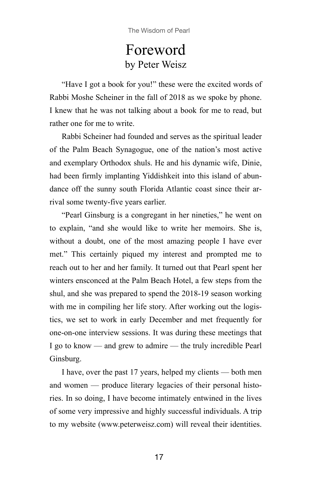# Foreword by Peter Weisz

"Have I got a book for you!" these were the excited words of Rabbi Moshe Scheiner in the fall of 2018 as we spoke by phone. I knew that he was not talking about a book for me to read, but rather one for me to write.

Rabbi Scheiner had founded and serves as the spiritual leader of the Palm Beach Synagogue, one of the nation's most active and exemplary Orthodox shuls. He and his dynamic wife, Dinie, had been firmly implanting Yiddishkeit into this island of abundance off the sunny south Florida Atlantic coast since their arrival some twenty-five years earlier.

"Pearl Ginsburg is a congregant in her nineties," he went on to explain, "and she would like to write her memoirs. She is, without a doubt, one of the most amazing people I have ever met." This certainly piqued my interest and prompted me to reach out to her and her family. It turned out that Pearl spent her winters ensconced at the Palm Beach Hotel, a few steps from the shul, and she was prepared to spend the 2018-19 season working with me in compiling her life story. After working out the logistics, we set to work in early December and met frequently for one-on-one interview sessions. It was during these meetings that I go to know — and grew to admire — the truly incredible Pearl Ginsburg.

I have, over the past 17 years, helped my clients — both men and women — produce literary legacies of their personal histories. In so doing, I have become intimately entwined in the lives of some very impressive and highly successful individuals. A trip to my website [\(www.peterweisz.com\)](http://www.peterweisz.com) will reveal their identities.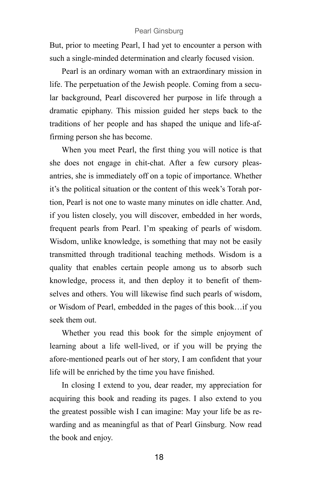But, prior to meeting Pearl, I had yet to encounter a person with such a single-minded determination and clearly focused vision.

Pearl is an ordinary woman with an extraordinary mission in life. The perpetuation of the Jewish people. Coming from a secular background, Pearl discovered her purpose in life through a dramatic epiphany. This mission guided her steps back to the traditions of her people and has shaped the unique and life-affirming person she has become.

When you meet Pearl, the first thing you will notice is that she does not engage in chit-chat. After a few cursory pleasantries, she is immediately off on a topic of importance. Whether it's the political situation or the content of this week's Torah portion, Pearl is not one to waste many minutes on idle chatter. And, if you listen closely, you will discover, embedded in her words, frequent pearls from Pearl. I'm speaking of pearls of wisdom. Wisdom, unlike knowledge, is something that may not be easily transmitted through traditional teaching methods. Wisdom is a quality that enables certain people among us to absorb such knowledge, process it, and then deploy it to benefit of themselves and others. You will likewise find such pearls of wisdom, or Wisdom of Pearl, embedded in the pages of this book…if you seek them out.

Whether you read this book for the simple enjoyment of learning about a life well-lived, or if you will be prying the afore-mentioned pearls out of her story, I am confident that your life will be enriched by the time you have finished.

In closing I extend to you, dear reader, my appreciation for acquiring this book and reading its pages. I also extend to you the greatest possible wish I can imagine: May your life be as rewarding and as meaningful as that of Pearl Ginsburg. Now read the book and enjoy.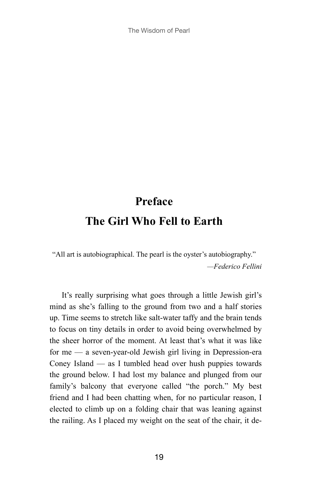The Wisdom of Pearl

# **Preface The Girl Who Fell to Earth**

"All art is autobiographical. The pearl is the oyster's autobiography." *—Federico Fellini*

It's really surprising what goes through a little Jewish girl's mind as she's falling to the ground from two and a half stories up. Time seems to stretch like salt-water taffy and the brain tends to focus on tiny details in order to avoid being overwhelmed by the sheer horror of the moment. At least that's what it was like for me — a seven-year-old Jewish girl living in Depression-era Coney Island — as I tumbled head over hush puppies towards the ground below. I had lost my balance and plunged from our family's balcony that everyone called "the porch." My best friend and I had been chatting when, for no particular reason, I elected to climb up on a folding chair that was leaning against the railing. As I placed my weight on the seat of the chair, it de-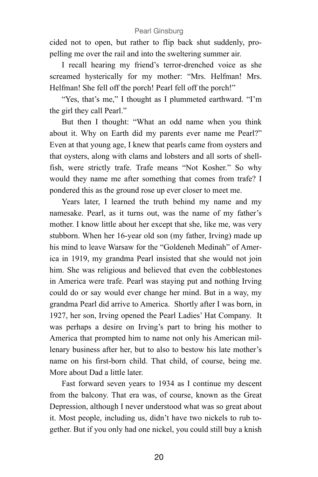cided not to open, but rather to flip back shut suddenly, propelling me over the rail and into the sweltering summer air.

I recall hearing my friend's terror-drenched voice as she screamed hysterically for my mother: "Mrs. Helfman! Mrs. Helfman! She fell off the porch! Pearl fell off the porch!"

"Yes, that's me," I thought as I plummeted earthward. "I'm the girl they call Pearl."

But then I thought: "What an odd name when you think about it. Why on Earth did my parents ever name me Pearl?" Even at that young age, I knew that pearls came from oysters and that oysters, along with clams and lobsters and all sorts of shellfish, were strictly trafe. Trafe means "Not Kosher." So why would they name me after something that comes from trafe? I pondered this as the ground rose up ever closer to meet me.

Years later, I learned the truth behind my name and my namesake. Pearl, as it turns out, was the name of my father's mother. I know little about her except that she, like me, was very stubborn. When her 16-year old son (my father, Irving) made up his mind to leave Warsaw for the "Goldeneh Medinah" of America in 1919, my grandma Pearl insisted that she would not join him. She was religious and believed that even the cobblestones in America were trafe. Pearl was staying put and nothing Irving could do or say would ever change her mind. But in a way, my grandma Pearl did arrive to America. Shortly after I was born, in 1927, her son, Irving opened the Pearl Ladies' Hat Company. It was perhaps a desire on Irving's part to bring his mother to America that prompted him to name not only his American millenary business after her, but to also to bestow his late mother's name on his first-born child. That child, of course, being me. More about Dad a little later.

Fast forward seven years to 1934 as I continue my descent from the balcony. That era was, of course, known as the Great Depression, although I never understood what was so great about it. Most people, including us, didn't have two nickels to rub together. But if you only had one nickel, you could still buy a knish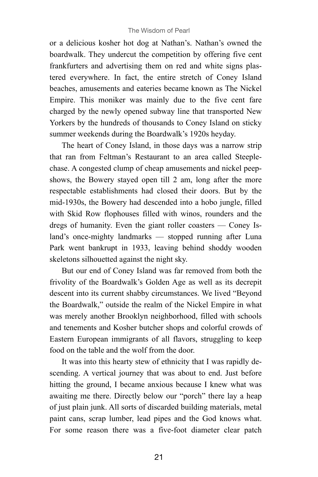or a delicious kosher hot dog at Nathan's. Nathan's owned the boardwalk. They undercut the competition by offering five cent frankfurters and advertising them on red and white signs plastered everywhere. In fact, the entire stretch of Coney Island beaches, amusements and eateries became known as The Nickel Empire. This moniker was mainly due to the five cent fare charged by the newly opened subway line that transported New Yorkers by the hundreds of thousands to Coney Island on sticky summer weekends during the Boardwalk's 1920s heyday.

The heart of Coney Island, in those days was a narrow strip that ran from Feltman's Restaurant to an area called Steeplechase. A congested clump of cheap amusements and nickel peepshows, the Bowery stayed open till 2 am, long after the more respectable establishments had closed their doors. But by the mid-1930s, the Bowery had descended into a hobo jungle, filled with Skid Row flophouses filled with winos, rounders and the dregs of humanity. Even the giant roller coasters — Coney Island's once-mighty landmarks — stopped running after Luna Park went bankrupt in 1933, leaving behind shoddy wooden skeletons silhouetted against the night sky.

But our end of Coney Island was far removed from both the frivolity of the Boardwalk's Golden Age as well as its decrepit descent into its current shabby circumstances. We lived "Beyond the Boardwalk," outside the realm of the Nickel Empire in what was merely another Brooklyn neighborhood, filled with schools and tenements and Kosher butcher shops and colorful crowds of Eastern European immigrants of all flavors, struggling to keep food on the table and the wolf from the door.

It was into this hearty stew of ethnicity that I was rapidly descending. A vertical journey that was about to end. Just before hitting the ground, I became anxious because I knew what was awaiting me there. Directly below our "porch" there lay a heap of just plain junk. All sorts of discarded building materials, metal paint cans, scrap lumber, lead pipes and the God knows what. For some reason there was a five-foot diameter clear patch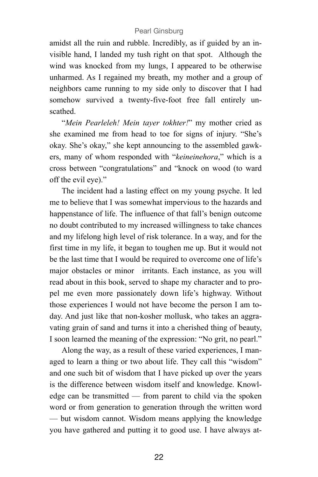amidst all the ruin and rubble. Incredibly, as if guided by an invisible hand, I landed my tush right on that spot. Although the wind was knocked from my lungs, I appeared to be otherwise unharmed. As I regained my breath, my mother and a group of neighbors came running to my side only to discover that I had somehow survived a twenty-five-foot free fall entirely unscathed.

"*Mein Pearleleh! Mein tayer tokhter!*" my mother cried as she examined me from head to toe for signs of injury. "She's okay. She's okay," she kept announcing to the assembled gawkers, many of whom responded with "*keineinehora*," which is a cross between "congratulations" and "knock on wood (to ward off the evil eye)."

The incident had a lasting effect on my young psyche. It led me to believe that I was somewhat impervious to the hazards and happenstance of life. The influence of that fall's benign outcome no doubt contributed to my increased willingness to take chances and my lifelong high level of risk tolerance. In a way, and for the first time in my life, it began to toughen me up. But it would not be the last time that I would be required to overcome one of life's major obstacles or minor irritants. Each instance, as you will read about in this book, served to shape my character and to propel me even more passionately down life's highway. Without those experiences I would not have become the person I am today. And just like that non-kosher mollusk, who takes an aggravating grain of sand and turns it into a cherished thing of beauty, I soon learned the meaning of the expression: "No grit, no pearl."

Along the way, as a result of these varied experiences, I managed to learn a thing or two about life. They call this "wisdom" and one such bit of wisdom that I have picked up over the years is the difference between wisdom itself and knowledge. Knowledge can be transmitted — from parent to child via the spoken word or from generation to generation through the written word — but wisdom cannot. Wisdom means applying the knowledge you have gathered and putting it to good use. I have always at-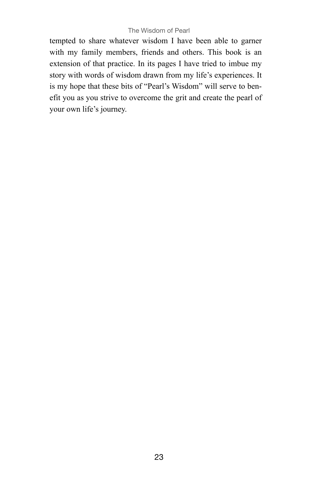#### The Wisdom of Pearl

tempted to share whatever wisdom I have been able to garner with my family members, friends and others. This book is an extension of that practice. In its pages I have tried to imbue my story with words of wisdom drawn from my life's experiences. It is my hope that these bits of "Pearl's Wisdom" will serve to benefit you as you strive to overcome the grit and create the pearl of your own life's journey.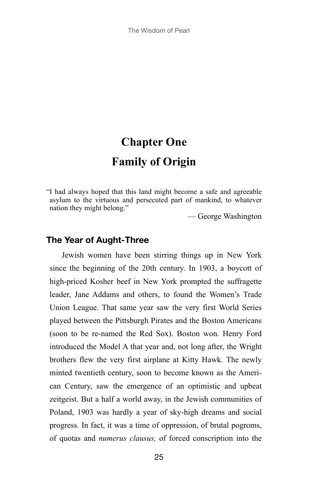# **Chapter One Family of Origin**

"I had always hoped that this land might become a safe and agreeable asylum to the virtuous and persecuted part of mankind, to whatever nation they might belong."

— George Washington

## **The Year of Aught-Three**

Jewish women have been stirring things up in New York since the beginning of the 20th century. In 1903, a boycott of high-priced Kosher beef in New York prompted the suffragette leader, Jane Addams and others, to found the Women's Trade Union League. That same year saw the very first World Series played between the Pittsburgh Pirates and the Boston Americans (soon to be re-named the Red Sox). Boston won. Henry Ford introduced the Model A that year and, not long after, the Wright brothers flew the very first airplane at Kitty Hawk. The newly minted twentieth century, soon to become known as the American Century, saw the emergence of an optimistic and upbeat zeitgeist. But a half a world away, in the Jewish communities of Poland, 1903 was hardly a year of sky-high dreams and social progress. In fact, it was a time of oppression, of brutal pogroms, of quotas and *numerus clausus,* of forced conscription into the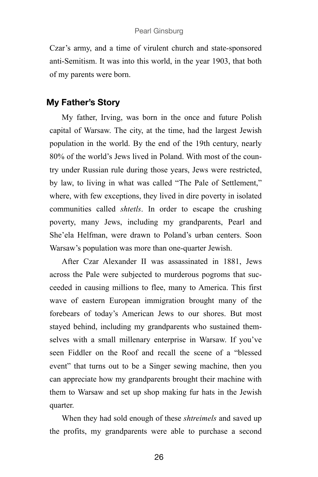Czar's army, and a time of virulent church and state-sponsored anti-Semitism. It was into this world, in the year 1903, that both of my parents were born.

## **My Father's Story**

My father, Irving, was born in the once and future Polish capital of Warsaw. The city, at the time, had the largest Jewish population in the world. By the end of the 19th century, nearly 80% of the world's Jews lived in Poland. With most of the country under Russian rule during those years, Jews were restricted, by law, to living in what was called "The Pale of Settlement," where, with few exceptions, they lived in dire poverty in isolated communities called *shtetls*. In order to escape the crushing poverty, many Jews, including my grandparents, Pearl and She'ela Helfman, were drawn to Poland's urban centers. Soon Warsaw's population was more than one-quarter Jewish.

After Czar Alexander II was assassinated in 1881, Jews across the Pale were subjected to murderous pogroms that succeeded in causing millions to flee, many to America. This first wave of eastern European immigration brought many of the forebears of today's American Jews to our shores. But most stayed behind, including my grandparents who sustained themselves with a small millenary enterprise in Warsaw. If you've seen Fiddler on the Roof and recall the scene of a "blessed event" that turns out to be a Singer sewing machine, then you can appreciate how my grandparents brought their machine with them to Warsaw and set up shop making fur hats in the Jewish quarter.

When they had sold enough of these *shtreimels* and saved up the profits, my grandparents were able to purchase a second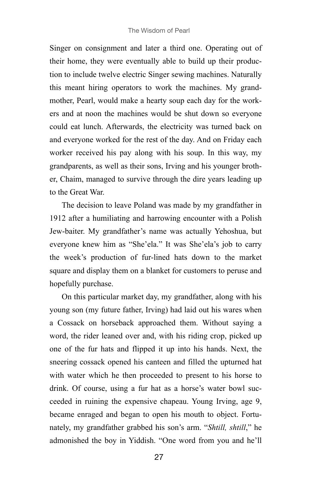Singer on consignment and later a third one. Operating out of their home, they were eventually able to build up their production to include twelve electric Singer sewing machines. Naturally this meant hiring operators to work the machines. My grandmother, Pearl, would make a hearty soup each day for the workers and at noon the machines would be shut down so everyone could eat lunch. Afterwards, the electricity was turned back on and everyone worked for the rest of the day. And on Friday each worker received his pay along with his soup. In this way, my grandparents, as well as their sons, Irving and his younger brother, Chaim, managed to survive through the dire years leading up to the Great War.

The decision to leave Poland was made by my grandfather in 1912 after a humiliating and harrowing encounter with a Polish Jew-baiter. My grandfather's name was actually Yehoshua, but everyone knew him as "She'ela." It was She'ela's job to carry the week's production of fur-lined hats down to the market square and display them on a blanket for customers to peruse and hopefully purchase.

On this particular market day, my grandfather, along with his young son (my future father, Irving) had laid out his wares when a Cossack on horseback approached them. Without saying a word, the rider leaned over and, with his riding crop, picked up one of the fur hats and flipped it up into his hands. Next, the sneering cossack opened his canteen and filled the upturned hat with water which he then proceeded to present to his horse to drink. Of course, using a fur hat as a horse's water bowl succeeded in ruining the expensive chapeau. Young Irving, age 9, became enraged and began to open his mouth to object. Fortunately, my grandfather grabbed his son's arm. "*Shtill, shtill*," he admonished the boy in Yiddish. "One word from you and he'll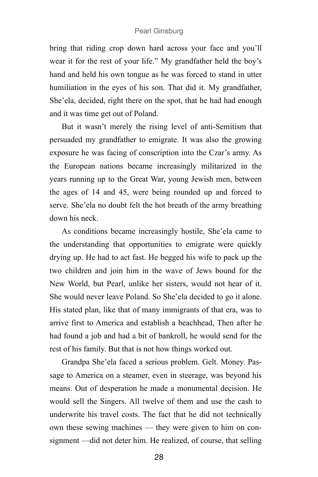bring that riding crop down hard across your face and you'll wear it for the rest of your life." My grandfather held the boy's hand and held his own tongue as he was forced to stand in utter humiliation in the eyes of his son. That did it. My grandfather, She'ela, decided, right there on the spot, that he had had enough and it was time get out of Poland.

But it wasn't merely the rising level of anti-Semitism that persuaded my grandfather to emigrate. It was also the growing exposure he was facing of conscription into the Czar's army. As the European nations became increasingly militarized in the years running up to the Great War, young Jewish men, between the ages of 14 and 45, were being rounded up and forced to serve. She'ela no doubt felt the hot breath of the army breathing down his neck.

As conditions became increasingly hostile, She'ela came to the understanding that opportunities to emigrate were quickly drying up. He had to act fast. He begged his wife to pack up the two children and join him in the wave of Jews bound for the New World, but Pearl, unlike her sisters, would not hear of it. She would never leave Poland. So She'ela decided to go it alone. His stated plan, like that of many immigrants of that era, was to arrive first to America and establish a beachhead, Then after he had found a job and had a bit of bankroll, he would send for the rest of his family. But that is not how things worked out.

Grandpa She'ela faced a serious problem. Gelt. Money. Passage to America on a steamer, even in steerage, was beyond his means. Out of desperation he made a monumental decision. He would sell the Singers. All twelve of them and use the cash to underwrite his travel costs. The fact that he did not technically own these sewing machines — they were given to him on consignment —did not deter him. He realized, of course, that selling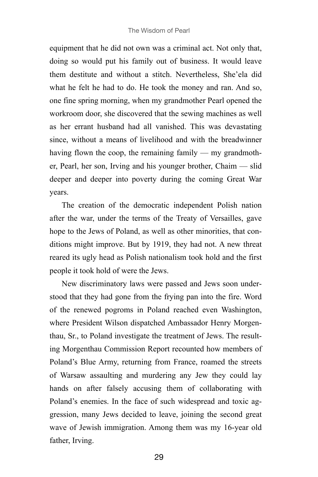equipment that he did not own was a criminal act. Not only that, doing so would put his family out of business. It would leave them destitute and without a stitch. Nevertheless, She'ela did what he felt he had to do. He took the money and ran. And so, one fine spring morning, when my grandmother Pearl opened the workroom door, she discovered that the sewing machines as well as her errant husband had all vanished. This was devastating since, without a means of livelihood and with the breadwinner having flown the coop, the remaining family — my grandmother, Pearl, her son, Irving and his younger brother, Chaim — slid deeper and deeper into poverty during the coming Great War years.

The creation of the democratic independent Polish nation after the war, under the terms of the Treaty of Versailles, gave hope to the Jews of Poland, as well as other minorities, that conditions might improve. But by 1919, they had not. A new threat reared its ugly head as Polish nationalism took hold and the first people it took hold of were the Jews.

New discriminatory laws were passed and Jews soon understood that they had gone from the frying pan into the fire. Word of the renewed pogroms in Poland reached even Washington, where President Wilson dispatched Ambassador Henry Morgenthau, Sr., to Poland investigate the treatment of Jews. The resulting Morgenthau Commission Report recounted how members of Poland's Blue Army, returning from France, roamed the streets of Warsaw assaulting and murdering any Jew they could lay hands on after falsely accusing them of collaborating with Poland's enemies. In the face of such widespread and toxic aggression, many Jews decided to leave, joining the second great wave of Jewish immigration. Among them was my 16-year old father, Irving.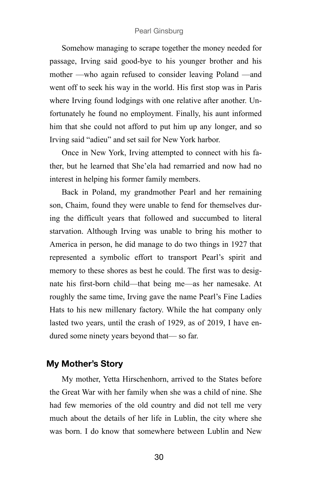Somehow managing to scrape together the money needed for passage, Irving said good-bye to his younger brother and his mother —who again refused to consider leaving Poland —and went off to seek his way in the world. His first stop was in Paris where Irving found lodgings with one relative after another. Unfortunately he found no employment. Finally, his aunt informed him that she could not afford to put him up any longer, and so Irving said "adieu" and set sail for New York harbor.

Once in New York, Irving attempted to connect with his father, but he learned that She'ela had remarried and now had no interest in helping his former family members.

Back in Poland, my grandmother Pearl and her remaining son, Chaim, found they were unable to fend for themselves during the difficult years that followed and succumbed to literal starvation. Although Irving was unable to bring his mother to America in person, he did manage to do two things in 1927 that represented a symbolic effort to transport Pearl's spirit and memory to these shores as best he could. The first was to designate his first-born child—that being me—as her namesake. At roughly the same time, Irving gave the name Pearl's Fine Ladies Hats to his new millenary factory. While the hat company only lasted two years, until the crash of 1929, as of 2019, I have endured some ninety years beyond that— so far.

## **My Mother's Story**

My mother, Yetta Hirschenhorn, arrived to the States before the Great War with her family when she was a child of nine. She had few memories of the old country and did not tell me very much about the details of her life in Lublin, the city where she was born. I do know that somewhere between Lublin and New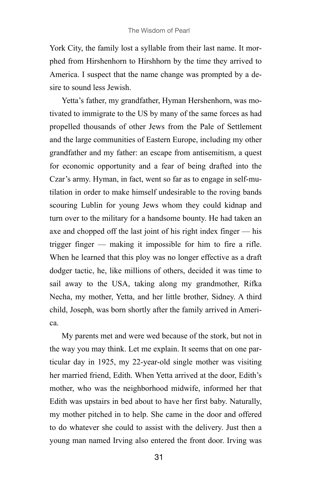York City, the family lost a syllable from their last name. It morphed from Hirshenhorn to Hirshhorn by the time they arrived to America. I suspect that the name change was prompted by a desire to sound less Jewish.

Yetta's father, my grandfather, Hyman Hershenhorn, was motivated to immigrate to the US by many of the same forces as had propelled thousands of other Jews from the Pale of Settlement and the large communities of Eastern Europe, including my other grandfather and my father: an escape from antisemitism, a quest for economic opportunity and a fear of being drafted into the Czar's army. Hyman, in fact, went so far as to engage in self-mutilation in order to make himself undesirable to the roving bands scouring Lublin for young Jews whom they could kidnap and turn over to the military for a handsome bounty. He had taken an axe and chopped off the last joint of his right index finger — his trigger finger — making it impossible for him to fire a rifle. When he learned that this ploy was no longer effective as a draft dodger tactic, he, like millions of others, decided it was time to sail away to the USA, taking along my grandmother, Rifka Necha, my mother, Yetta, and her little brother, Sidney. A third child, Joseph, was born shortly after the family arrived in America.

My parents met and were wed because of the stork, but not in the way you may think. Let me explain. It seems that on one particular day in 1925, my 22-year-old single mother was visiting her married friend, Edith. When Yetta arrived at the door, Edith's mother, who was the neighborhood midwife, informed her that Edith was upstairs in bed about to have her first baby. Naturally, my mother pitched in to help. She came in the door and offered to do whatever she could to assist with the delivery. Just then a young man named Irving also entered the front door. Irving was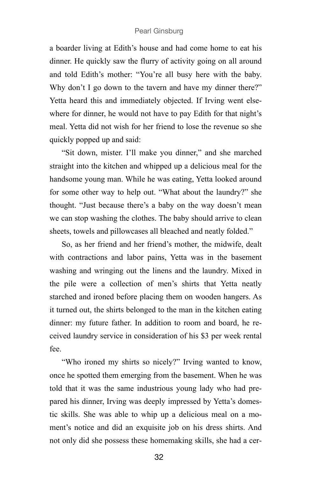a boarder living at Edith's house and had come home to eat his dinner. He quickly saw the flurry of activity going on all around and told Edith's mother: "You're all busy here with the baby. Why don't I go down to the tavern and have my dinner there?" Yetta heard this and immediately objected. If Irving went elsewhere for dinner, he would not have to pay Edith for that night's meal. Yetta did not wish for her friend to lose the revenue so she quickly popped up and said:

"Sit down, mister. I'll make you dinner," and she marched straight into the kitchen and whipped up a delicious meal for the handsome young man. While he was eating, Yetta looked around for some other way to help out. "What about the laundry?" she thought. "Just because there's a baby on the way doesn't mean we can stop washing the clothes. The baby should arrive to clean sheets, towels and pillowcases all bleached and neatly folded."

So, as her friend and her friend's mother, the midwife, dealt with contractions and labor pains, Yetta was in the basement washing and wringing out the linens and the laundry. Mixed in the pile were a collection of men's shirts that Yetta neatly starched and ironed before placing them on wooden hangers. As it turned out, the shirts belonged to the man in the kitchen eating dinner: my future father. In addition to room and board, he received laundry service in consideration of his \$3 per week rental fee.

"Who ironed my shirts so nicely?" Irving wanted to know, once he spotted them emerging from the basement. When he was told that it was the same industrious young lady who had prepared his dinner, Irving was deeply impressed by Yetta's domestic skills. She was able to whip up a delicious meal on a moment's notice and did an exquisite job on his dress shirts. And not only did she possess these homemaking skills, she had a cer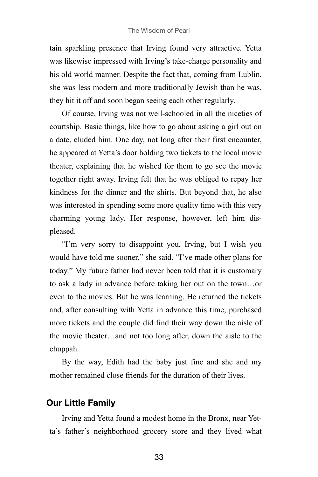tain sparkling presence that Irving found very attractive. Yetta was likewise impressed with Irving's take-charge personality and his old world manner. Despite the fact that, coming from Lublin, she was less modern and more traditionally Jewish than he was, they hit it off and soon began seeing each other regularly.

Of course, Irving was not well-schooled in all the niceties of courtship. Basic things, like how to go about asking a girl out on a date, eluded him. One day, not long after their first encounter, he appeared at Yetta's door holding two tickets to the local movie theater, explaining that he wished for them to go see the movie together right away. Irving felt that he was obliged to repay her kindness for the dinner and the shirts. But beyond that, he also was interested in spending some more quality time with this very charming young lady. Her response, however, left him displeased.

"I'm very sorry to disappoint you, Irving, but I wish you would have told me sooner," she said. "I've made other plans for today." My future father had never been told that it is customary to ask a lady in advance before taking her out on the town…or even to the movies. But he was learning. He returned the tickets and, after consulting with Yetta in advance this time, purchased more tickets and the couple did find their way down the aisle of the movie theater…and not too long after, down the aisle to the chuppah.

By the way, Edith had the baby just fine and she and my mother remained close friends for the duration of their lives.

### **Our Little Family**

Irving and Yetta found a modest home in the Bronx, near Yetta's father's neighborhood grocery store and they lived what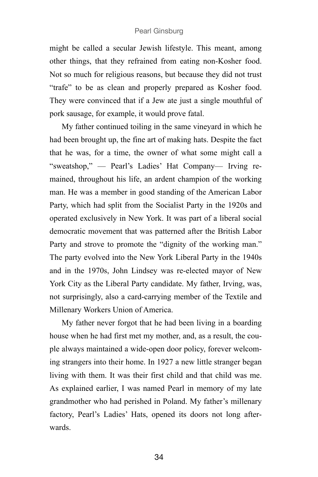might be called a secular Jewish lifestyle. This meant, among other things, that they refrained from eating non-Kosher food. Not so much for religious reasons, but because they did not trust "trafe" to be as clean and properly prepared as Kosher food. They were convinced that if a Jew ate just a single mouthful of pork sausage, for example, it would prove fatal.

My father continued toiling in the same vineyard in which he had been brought up, the fine art of making hats. Despite the fact that he was, for a time, the owner of what some might call a "sweatshop," — Pearl's Ladies' Hat Company— Irving remained, throughout his life, an ardent champion of the working man. He was a member in good standing of the American Labor Party, which had split from the Socialist Party in the 1920s and operated exclusively in New York. It was part of a liberal social democratic movement that was patterned after the British Labor Party and strove to promote the "dignity of the working man." The party evolved into the New York Liberal Party in the 1940s and in the 1970s, John Lindsey was re-elected mayor of New York City as the Liberal Party candidate. My father, Irving, was, not surprisingly, also a card-carrying member of the Textile and Millenary Workers Union of America.

My father never forgot that he had been living in a boarding house when he had first met my mother, and, as a result, the couple always maintained a wide-open door policy, forever welcoming strangers into their home. In 1927 a new little stranger began living with them. It was their first child and that child was me. As explained earlier, I was named Pearl in memory of my late grandmother who had perished in Poland. My father's millenary factory, Pearl's Ladies' Hats, opened its doors not long afterwards.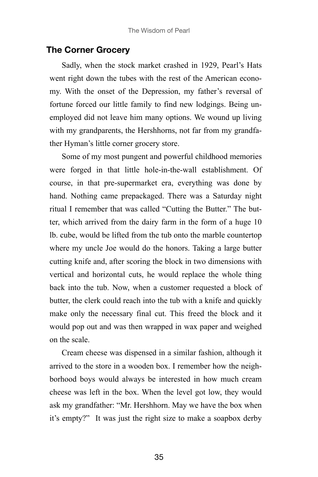#### **The Corner Grocery**

Sadly, when the stock market crashed in 1929, Pearl's Hats went right down the tubes with the rest of the American economy. With the onset of the Depression, my father's reversal of fortune forced our little family to find new lodgings. Being unemployed did not leave him many options. We wound up living with my grandparents, the Hershhorns, not far from my grandfather Hyman's little corner grocery store.

Some of my most pungent and powerful childhood memories were forged in that little hole-in-the-wall establishment. Of course, in that pre-supermarket era, everything was done by hand. Nothing came prepackaged. There was a Saturday night ritual I remember that was called "Cutting the Butter." The butter, which arrived from the dairy farm in the form of a huge 10 lb. cube, would be lifted from the tub onto the marble countertop where my uncle Joe would do the honors. Taking a large butter cutting knife and, after scoring the block in two dimensions with vertical and horizontal cuts, he would replace the whole thing back into the tub. Now, when a customer requested a block of butter, the clerk could reach into the tub with a knife and quickly make only the necessary final cut. This freed the block and it would pop out and was then wrapped in wax paper and weighed on the scale.

Cream cheese was dispensed in a similar fashion, although it arrived to the store in a wooden box. I remember how the neighborhood boys would always be interested in how much cream cheese was left in the box. When the level got low, they would ask my grandfather: "Mr. Hershhorn. May we have the box when it's empty?" It was just the right size to make a soapbox derby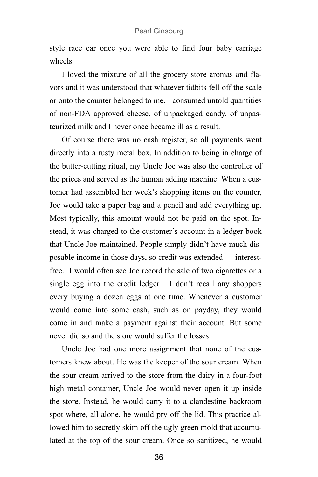style race car once you were able to find four baby carriage wheels.

I loved the mixture of all the grocery store aromas and flavors and it was understood that whatever tidbits fell off the scale or onto the counter belonged to me. I consumed untold quantities of non-FDA approved cheese, of unpackaged candy, of unpasteurized milk and I never once became ill as a result.

Of course there was no cash register, so all payments went directly into a rusty metal box. In addition to being in charge of the butter-cutting ritual, my Uncle Joe was also the controller of the prices and served as the human adding machine. When a customer had assembled her week's shopping items on the counter, Joe would take a paper bag and a pencil and add everything up. Most typically, this amount would not be paid on the spot. Instead, it was charged to the customer's account in a ledger book that Uncle Joe maintained. People simply didn't have much disposable income in those days, so credit was extended — interestfree. I would often see Joe record the sale of two cigarettes or a single egg into the credit ledger. I don't recall any shoppers every buying a dozen eggs at one time. Whenever a customer would come into some cash, such as on payday, they would come in and make a payment against their account. But some never did so and the store would suffer the losses.

Uncle Joe had one more assignment that none of the customers knew about. He was the keeper of the sour cream. When the sour cream arrived to the store from the dairy in a four-foot high metal container, Uncle Joe would never open it up inside the store. Instead, he would carry it to a clandestine backroom spot where, all alone, he would pry off the lid. This practice allowed him to secretly skim off the ugly green mold that accumulated at the top of the sour cream. Once so sanitized, he would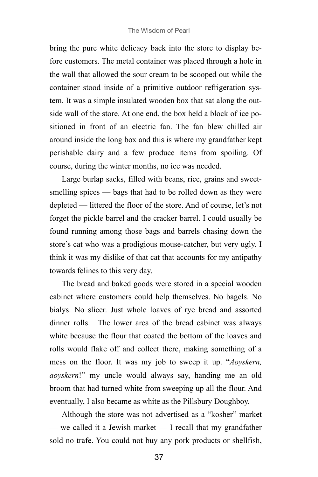bring the pure white delicacy back into the store to display before customers. The metal container was placed through a hole in the wall that allowed the sour cream to be scooped out while the container stood inside of a primitive outdoor refrigeration system. It was a simple insulated wooden box that sat along the outside wall of the store. At one end, the box held a block of ice positioned in front of an electric fan. The fan blew chilled air around inside the long box and this is where my grandfather kept perishable dairy and a few produce items from spoiling. Of course, during the winter months, no ice was needed.

Large burlap sacks, filled with beans, rice, grains and sweetsmelling spices — bags that had to be rolled down as they were depleted — littered the floor of the store. And of course, let's not forget the pickle barrel and the cracker barrel. I could usually be found running among those bags and barrels chasing down the store's cat who was a prodigious mouse-catcher, but very ugly. I think it was my dislike of that cat that accounts for my antipathy towards felines to this very day.

The bread and baked goods were stored in a special wooden cabinet where customers could help themselves. No bagels. No bialys. No slicer. Just whole loaves of rye bread and assorted dinner rolls. The lower area of the bread cabinet was always white because the flour that coated the bottom of the loaves and rolls would flake off and collect there, making something of a mess on the floor. It was my job to sweep it up. "*Aoyskern, aoyskern*!" my uncle would always say, handing me an old broom that had turned white from sweeping up all the flour. And eventually, I also became as white as the Pillsbury Doughboy.

Although the store was not advertised as a "kosher" market — we called it a Jewish market — I recall that my grandfather sold no trafe. You could not buy any pork products or shellfish,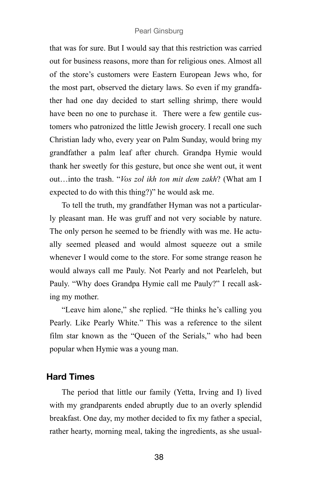that was for sure. But I would say that this restriction was carried out for business reasons, more than for religious ones. Almost all of the store's customers were Eastern European Jews who, for the most part, observed the dietary laws. So even if my grandfather had one day decided to start selling shrimp, there would have been no one to purchase it. There were a few gentile customers who patronized the little Jewish grocery. I recall one such Christian lady who, every year on Palm Sunday, would bring my grandfather a palm leaf after church. Grandpa Hymie would thank her sweetly for this gesture, but once she went out, it went out…into the trash. "*Vos zol ikh ton mit dem zakh*? (What am I expected to do with this thing?)" he would ask me.

To tell the truth, my grandfather Hyman was not a particularly pleasant man. He was gruff and not very sociable by nature. The only person he seemed to be friendly with was me. He actually seemed pleased and would almost squeeze out a smile whenever I would come to the store. For some strange reason he would always call me Pauly. Not Pearly and not Pearleleh, but Pauly. "Why does Grandpa Hymie call me Pauly?" I recall asking my mother.

"Leave him alone," she replied. "He thinks he's calling you Pearly. Like Pearly White." This was a reference to the silent film star known as the "Queen of the Serials," who had been popular when Hymie was a young man.

#### **Hard Times**

The period that little our family (Yetta, Irving and I) lived with my grandparents ended abruptly due to an overly splendid breakfast. One day, my mother decided to fix my father a special, rather hearty, morning meal, taking the ingredients, as she usual-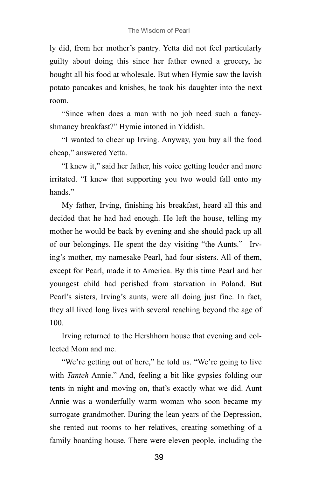ly did, from her mother's pantry. Yetta did not feel particularly guilty about doing this since her father owned a grocery, he bought all his food at wholesale. But when Hymie saw the lavish potato pancakes and knishes, he took his daughter into the next room.

"Since when does a man with no job need such a fancyshmancy breakfast?" Hymie intoned in Yiddish.

"I wanted to cheer up Irving. Anyway, you buy all the food cheap," answered Yetta.

"I knew it," said her father, his voice getting louder and more irritated. "I knew that supporting you two would fall onto my hands."

My father, Irving, finishing his breakfast, heard all this and decided that he had had enough. He left the house, telling my mother he would be back by evening and she should pack up all of our belongings. He spent the day visiting "the Aunts." Irving's mother, my namesake Pearl, had four sisters. All of them, except for Pearl, made it to America. By this time Pearl and her youngest child had perished from starvation in Poland. But Pearl's sisters, Irving's aunts, were all doing just fine. In fact, they all lived long lives with several reaching beyond the age of 100.

Irving returned to the Hershhorn house that evening and collected Mom and me.

"We're getting out of here," he told us. "We're going to live with *Tanteh* Annie." And, feeling a bit like gypsies folding our tents in night and moving on, that's exactly what we did. Aunt Annie was a wonderfully warm woman who soon became my surrogate grandmother. During the lean years of the Depression, she rented out rooms to her relatives, creating something of a family boarding house. There were eleven people, including the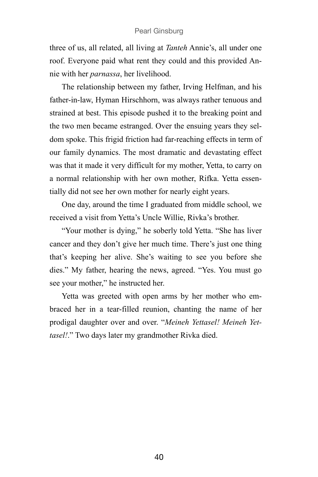three of us, all related, all living at *Tanteh* Annie's, all under one roof. Everyone paid what rent they could and this provided Annie with her *parnassa*, her livelihood.

The relationship between my father, Irving Helfman, and his father-in-law, Hyman Hirschhorn, was always rather tenuous and strained at best. This episode pushed it to the breaking point and the two men became estranged. Over the ensuing years they seldom spoke. This frigid friction had far-reaching effects in term of our family dynamics. The most dramatic and devastating effect was that it made it very difficult for my mother, Yetta, to carry on a normal relationship with her own mother, Rifka. Yetta essentially did not see her own mother for nearly eight years.

One day, around the time I graduated from middle school, we received a visit from Yetta's Uncle Willie, Rivka's brother.

"Your mother is dying," he soberly told Yetta. "She has liver cancer and they don't give her much time. There's just one thing that's keeping her alive. She's waiting to see you before she dies." My father, hearing the news, agreed. "Yes. You must go see your mother," he instructed her.

Yetta was greeted with open arms by her mother who embraced her in a tear-filled reunion, chanting the name of her prodigal daughter over and over. "*Meineh Yettasel! Meineh Yettasel!*." Two days later my grandmother Rivka died.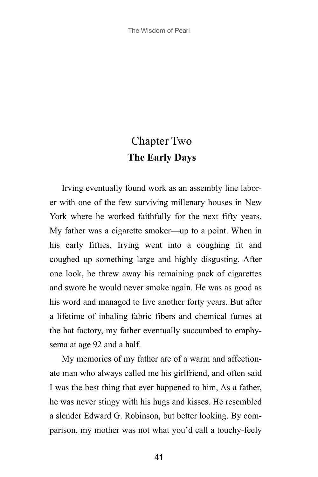# Chapter Two **The Early Days**

Irving eventually found work as an assembly line laborer with one of the few surviving millenary houses in New York where he worked faithfully for the next fifty years. My father was a cigarette smoker—up to a point. When in his early fifties, Irving went into a coughing fit and coughed up something large and highly disgusting. After one look, he threw away his remaining pack of cigarettes and swore he would never smoke again. He was as good as his word and managed to live another forty years. But after a lifetime of inhaling fabric fibers and chemical fumes at the hat factory, my father eventually succumbed to emphysema at age 92 and a half.

My memories of my father are of a warm and affectionate man who always called me his girlfriend, and often said I was the best thing that ever happened to him, As a father, he was never stingy with his hugs and kisses. He resembled a slender Edward G. Robinson, but better looking. By comparison, my mother was not what you'd call a touchy-feely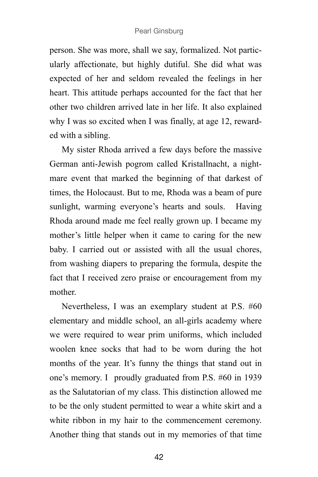person. She was more, shall we say, formalized. Not particularly affectionate, but highly dutiful. She did what was expected of her and seldom revealed the feelings in her heart. This attitude perhaps accounted for the fact that her other two children arrived late in her life. It also explained why I was so excited when I was finally, at age 12, rewarded with a sibling.

My sister Rhoda arrived a few days before the massive German anti-Jewish pogrom called Kristallnacht, a nightmare event that marked the beginning of that darkest of times, the Holocaust. But to me, Rhoda was a beam of pure sunlight, warming everyone's hearts and souls. Having Rhoda around made me feel really grown up. I became my mother's little helper when it came to caring for the new baby. I carried out or assisted with all the usual chores, from washing diapers to preparing the formula, despite the fact that I received zero praise or encouragement from my mother.

Nevertheless, I was an exemplary student at P.S. #60 elementary and middle school, an all-girls academy where we were required to wear prim uniforms, which included woolen knee socks that had to be worn during the hot months of the year. It's funny the things that stand out in one's memory. I proudly graduated from P.S. #60 in 1939 as the Salutatorian of my class. This distinction allowed me to be the only student permitted to wear a white skirt and a white ribbon in my hair to the commencement ceremony. Another thing that stands out in my memories of that time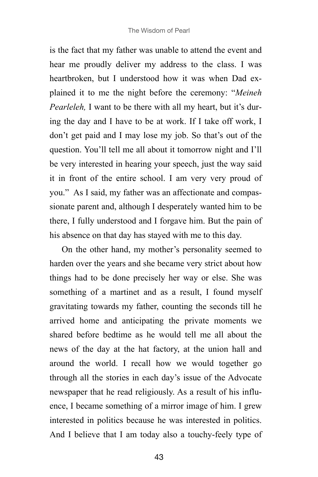is the fact that my father was unable to attend the event and hear me proudly deliver my address to the class. I was heartbroken, but I understood how it was when Dad explained it to me the night before the ceremony: "*Meineh Pearleleh,* I want to be there with all my heart, but it's during the day and I have to be at work. If I take off work, I don't get paid and I may lose my job. So that's out of the question. You'll tell me all about it tomorrow night and I'll be very interested in hearing your speech, just the way said it in front of the entire school. I am very very proud of you." As I said, my father was an affectionate and compassionate parent and, although I desperately wanted him to be there, I fully understood and I forgave him. But the pain of his absence on that day has stayed with me to this day.

On the other hand, my mother's personality seemed to harden over the years and she became very strict about how things had to be done precisely her way or else. She was something of a martinet and as a result, I found myself gravitating towards my father, counting the seconds till he arrived home and anticipating the private moments we shared before bedtime as he would tell me all about the news of the day at the hat factory, at the union hall and around the world. I recall how we would together go through all the stories in each day's issue of the Advocate newspaper that he read religiously. As a result of his influence, I became something of a mirror image of him. I grew interested in politics because he was interested in politics. And I believe that I am today also a touchy-feely type of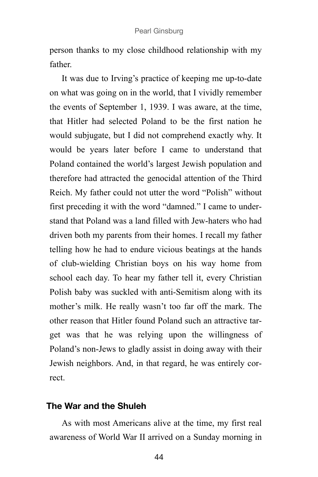person thanks to my close childhood relationship with my father.

It was due to Irving's practice of keeping me up-to-date on what was going on in the world, that I vividly remember the events of September 1, 1939. I was aware, at the time, that Hitler had selected Poland to be the first nation he would subjugate, but I did not comprehend exactly why. It would be years later before I came to understand that Poland contained the world's largest Jewish population and therefore had attracted the genocidal attention of the Third Reich. My father could not utter the word "Polish" without first preceding it with the word "damned." I came to understand that Poland was a land filled with Jew-haters who had driven both my parents from their homes. I recall my father telling how he had to endure vicious beatings at the hands of club-wielding Christian boys on his way home from school each day. To hear my father tell it, every Christian Polish baby was suckled with anti-Semitism along with its mother's milk. He really wasn't too far off the mark. The other reason that Hitler found Poland such an attractive target was that he was relying upon the willingness of Poland's non-Jews to gladly assist in doing away with their Jewish neighbors. And, in that regard, he was entirely correct.

### **The War and the Shuleh**

As with most Americans alive at the time, my first real awareness of World War II arrived on a Sunday morning in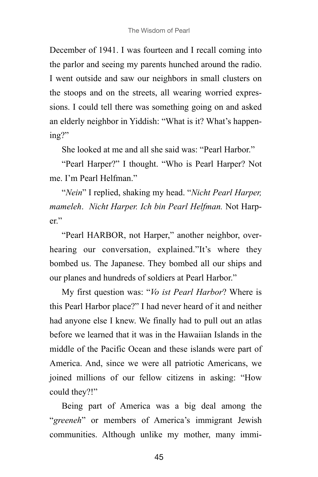December of 1941. I was fourteen and I recall coming into the parlor and seeing my parents hunched around the radio. I went outside and saw our neighbors in small clusters on the stoops and on the streets, all wearing worried expressions. I could tell there was something going on and asked an elderly neighbor in Yiddish: "What is it? What's happening?"

She looked at me and all she said was: "Pearl Harbor."

"Pearl Harper?" I thought. "Who is Pearl Harper? Not me. I'm Pearl Helfman."

"*Nein*" I replied, shaking my head. "*Nicht Pearl Harper, mameleh*. *Nicht Harper. Ich bin Pearl Helfman.* Not Harper"

"Pearl HARBOR, not Harper," another neighbor, overhearing our conversation, explained."It's where they bombed us. The Japanese. They bombed all our ships and our planes and hundreds of soldiers at Pearl Harbor."

My first question was: "*Vo ist Pearl Harbor*? Where is this Pearl Harbor place?" I had never heard of it and neither had anyone else I knew. We finally had to pull out an atlas before we learned that it was in the Hawaiian Islands in the middle of the Pacific Ocean and these islands were part of America. And, since we were all patriotic Americans, we joined millions of our fellow citizens in asking: "How could they?!"

Being part of America was a big deal among the "*greeneh*" or members of America's immigrant Jewish communities. Although unlike my mother, many immi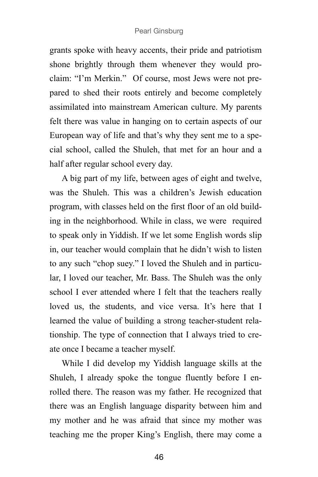grants spoke with heavy accents, their pride and patriotism shone brightly through them whenever they would proclaim: "I'm Merkin." Of course, most Jews were not prepared to shed their roots entirely and become completely assimilated into mainstream American culture. My parents felt there was value in hanging on to certain aspects of our European way of life and that's why they sent me to a special school, called the Shuleh, that met for an hour and a half after regular school every day.

A big part of my life, between ages of eight and twelve, was the Shuleh. This was a children's Jewish education program, with classes held on the first floor of an old building in the neighborhood. While in class, we were required to speak only in Yiddish. If we let some English words slip in, our teacher would complain that he didn't wish to listen to any such "chop suey." I loved the Shuleh and in particular, I loved our teacher, Mr. Bass. The Shuleh was the only school I ever attended where I felt that the teachers really loved us, the students, and vice versa. It's here that I learned the value of building a strong teacher-student relationship. The type of connection that I always tried to create once I became a teacher myself.

While I did develop my Yiddish language skills at the Shuleh, I already spoke the tongue fluently before I enrolled there. The reason was my father. He recognized that there was an English language disparity between him and my mother and he was afraid that since my mother was teaching me the proper King's English, there may come a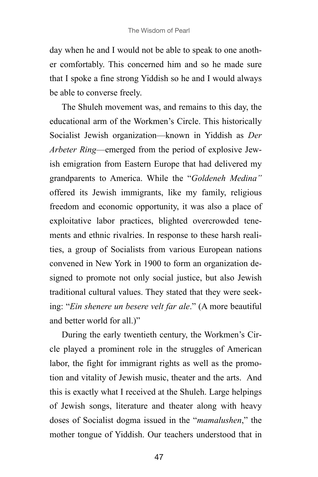day when he and I would not be able to speak to one another comfortably. This concerned him and so he made sure that I spoke a fine strong Yiddish so he and I would always be able to converse freely.

The Shuleh movement was, and remains to this day, the educational arm of the Workmen's Circle. This historically Socialist Jewish organization—known in Yiddish as *Der Arbeter Ring*—emerged from the period of explosive Jewish emigration from Eastern Europe that had delivered my grandparents to America. While the "*Goldeneh Medina"* offered its Jewish immigrants, like my family, religious freedom and economic opportunity, it was also a place of exploitative labor practices, blighted overcrowded tenements and ethnic rivalries. In response to these harsh realities, a group of Socialists from various European nations convened in New York in 1900 to form an organization designed to promote not only social justice, but also Jewish traditional cultural values. They stated that they were seeking: "*Ein shenere un besere velt far ale*." (A more beautiful and better world for all.)"

During the early twentieth century, the Workmen's Circle played a prominent role in the struggles of American labor, the fight for immigrant rights as well as the promotion and vitality of Jewish music, theater and the arts. And this is exactly what I received at the Shuleh. Large helpings of Jewish songs, literature and theater along with heavy doses of Socialist dogma issued in the "*mamalushen*," the mother tongue of Yiddish. Our teachers understood that in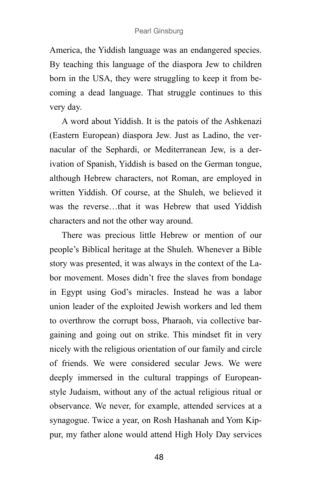America, the Yiddish language was an endangered species. By teaching this language of the diaspora Jew to children born in the USA, they were struggling to keep it from becoming a dead language. That struggle continues to this very day.

A word about Yiddish. It is the patois of the Ashkenazi (Eastern European) diaspora Jew. Just as Ladino, the vernacular of the Sephardi, or Mediterranean Jew, is a derivation of Spanish, Yiddish is based on the German tongue, although Hebrew characters, not Roman, are employed in written Yiddish. Of course, at the Shuleh, we believed it was the reverse…that it was Hebrew that used Yiddish characters and not the other way around.

There was precious little Hebrew or mention of our people's Biblical heritage at the Shuleh. Whenever a Bible story was presented, it was always in the context of the Labor movement. Moses didn't free the slaves from bondage in Egypt using God's miracles. Instead he was a labor union leader of the exploited Jewish workers and led them to overthrow the corrupt boss, Pharaoh, via collective bargaining and going out on strike. This mindset fit in very nicely with the religious orientation of our family and circle of friends. We were considered secular Jews. We were deeply immersed in the cultural trappings of Europeanstyle Judaism, without any of the actual religious ritual or observance. We never, for example, attended services at a synagogue. Twice a year, on Rosh Hashanah and Yom Kippur, my father alone would attend High Holy Day services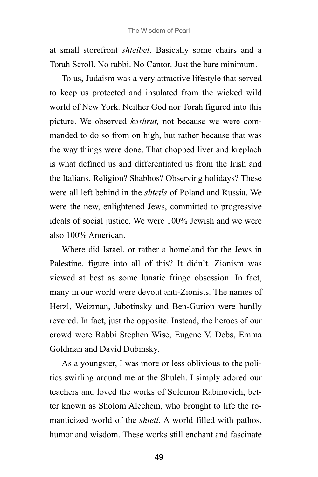at small storefront *shteibel*. Basically some chairs and a Torah Scroll. No rabbi. No Cantor. Just the bare minimum.

To us, Judaism was a very attractive lifestyle that served to keep us protected and insulated from the wicked wild world of New York. Neither God nor Torah figured into this picture. We observed *kashrut,* not because we were commanded to do so from on high, but rather because that was the way things were done. That chopped liver and kreplach is what defined us and differentiated us from the Irish and the Italians. Religion? Shabbos? Observing holidays? These were all left behind in the *shtetls* of Poland and Russia. We were the new, enlightened Jews, committed to progressive ideals of social justice. We were 100% Jewish and we were also 100% American.

Where did Israel, or rather a homeland for the Jews in Palestine, figure into all of this? It didn't. Zionism was viewed at best as some lunatic fringe obsession. In fact, many in our world were devout anti-Zionists. The names of Herzl, Weizman, Jabotinsky and Ben-Gurion were hardly revered. In fact, just the opposite. Instead, the heroes of our crowd were Rabbi Stephen Wise, Eugene V. Debs, Emma Goldman and David Dubinsky.

As a youngster, I was more or less oblivious to the politics swirling around me at the Shuleh. I simply adored our teachers and loved the works of Solomon Rabinovich, better known as Sholom Alechem, who brought to life the romanticized world of the *shtetl*. A world filled with pathos, humor and wisdom. These works still enchant and fascinate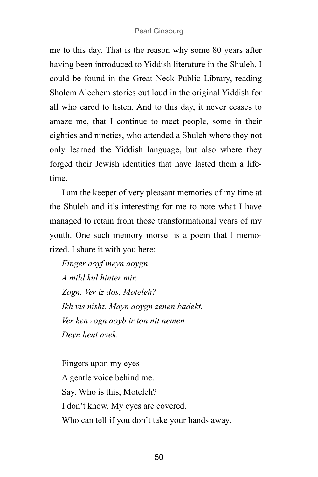me to this day. That is the reason why some 80 years after having been introduced to Yiddish literature in the Shuleh, I could be found in the Great Neck Public Library, reading Sholem Alechem stories out loud in the original Yiddish for all who cared to listen. And to this day, it never ceases to amaze me, that I continue to meet people, some in their eighties and nineties, who attended a Shuleh where they not only learned the Yiddish language, but also where they forged their Jewish identities that have lasted them a lifetime.

I am the keeper of very pleasant memories of my time at the Shuleh and it's interesting for me to note what I have managed to retain from those transformational years of my youth. One such memory morsel is a poem that I memorized. I share it with you here:

*Finger aoyf meyn aoygn A mild kul hinter mir. Zogn. Ver iz dos, Moteleh? Ikh vis nisht. Mayn aoygn zenen badekt. Ver ken zogn aoyb ir ton nit nemen Deyn hent avek.*

Fingers upon my eyes A gentle voice behind me. Say. Who is this, Moteleh? I don't know. My eyes are covered. Who can tell if you don't take your hands away.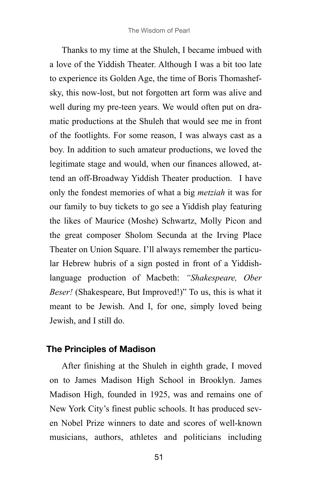Thanks to my time at the Shuleh, I became imbued with a love of the Yiddish Theater. Although I was a bit too late to experience its Golden Age, the time of Boris Thomashefsky, this now-lost, but not forgotten art form was alive and well during my pre-teen years. We would often put on dramatic productions at the Shuleh that would see me in front of the footlights. For some reason, I was always cast as a boy. In addition to such amateur productions, we loved the legitimate stage and would, when our finances allowed, attend an off-Broadway Yiddish Theater production. I have only the fondest memories of what a big *metziah* it was for our family to buy tickets to go see a Yiddish play featuring the likes of Maurice (Moshe) Schwartz, Molly Picon and the great composer Sholom Secunda at the Irving Place Theater on Union Square. I'll always remember the particular Hebrew hubris of a sign posted in front of a Yiddishlanguage production of Macbeth: *"Shakespeare, Ober Beser!* (Shakespeare, But Improved!)" To us, this is what it meant to be Jewish. And I, for one, simply loved being Jewish, and I still do.

## **The Principles of Madison**

After finishing at the Shuleh in eighth grade, I moved on to James Madison High School in Brooklyn. James Madison High, founded in 1925, was and remains one of New York City's finest public schools. It has produced seven Nobel Prize winners to date and scores of well-known musicians, authors, athletes and politicians including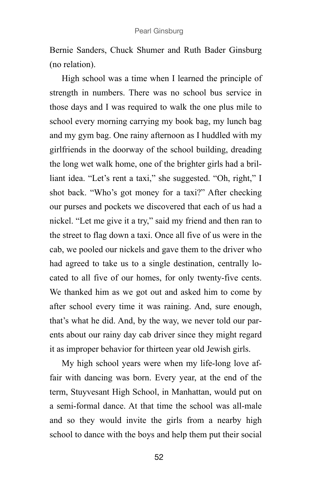Bernie Sanders, Chuck Shumer and Ruth Bader Ginsburg (no relation).

High school was a time when I learned the principle of strength in numbers. There was no school bus service in those days and I was required to walk the one plus mile to school every morning carrying my book bag, my lunch bag and my gym bag. One rainy afternoon as I huddled with my girlfriends in the doorway of the school building, dreading the long wet walk home, one of the brighter girls had a brilliant idea. "Let's rent a taxi," she suggested. "Oh, right," I shot back. "Who's got money for a taxi?" After checking our purses and pockets we discovered that each of us had a nickel. "Let me give it a try," said my friend and then ran to the street to flag down a taxi. Once all five of us were in the cab, we pooled our nickels and gave them to the driver who had agreed to take us to a single destination, centrally located to all five of our homes, for only twenty-five cents. We thanked him as we got out and asked him to come by after school every time it was raining. And, sure enough, that's what he did. And, by the way, we never told our parents about our rainy day cab driver since they might regard it as improper behavior for thirteen year old Jewish girls.

My high school years were when my life-long love affair with dancing was born. Every year, at the end of the term, Stuyvesant High School, in Manhattan, would put on a semi-formal dance. At that time the school was all-male and so they would invite the girls from a nearby high school to dance with the boys and help them put their social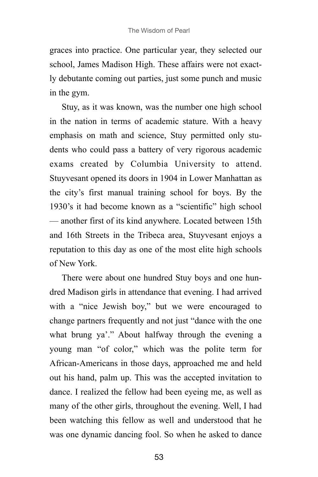graces into practice. One particular year, they selected our school, James Madison High. These affairs were not exactly debutante coming out parties, just some punch and music in the gym.

Stuy, as it was known, was the number one high school in the nation in terms of academic stature. With a heavy emphasis on math and science, Stuy permitted only students who could pass a battery of very rigorous academic exams created by Columbia University to attend. Stuyvesant opened its doors in 1904 in Lower Manhattan as the city's first manual training school for boys. By the 1930's it had become known as a "scientific" high school — another first of its kind anywhere. Located between 15th and 16th Streets in the Tribeca area, Stuyvesant enjoys a reputation to this day as one of the most elite high schools of New York.

There were about one hundred Stuy boys and one hundred Madison girls in attendance that evening. I had arrived with a "nice Jewish boy," but we were encouraged to change partners frequently and not just "dance with the one what brung ya'." About halfway through the evening a young man "of color," which was the polite term for African-Americans in those days, approached me and held out his hand, palm up. This was the accepted invitation to dance. I realized the fellow had been eyeing me, as well as many of the other girls, throughout the evening. Well, I had been watching this fellow as well and understood that he was one dynamic dancing fool. So when he asked to dance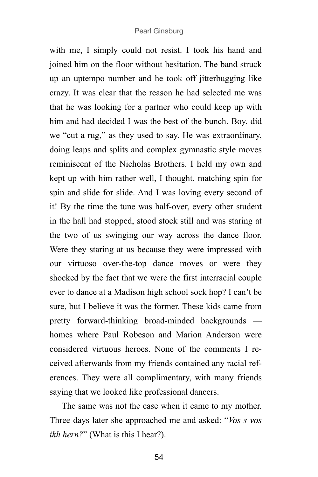with me, I simply could not resist. I took his hand and joined him on the floor without hesitation. The band struck up an uptempo number and he took off jitterbugging like crazy. It was clear that the reason he had selected me was that he was looking for a partner who could keep up with him and had decided I was the best of the bunch. Boy, did we "cut a rug," as they used to say. He was extraordinary, doing leaps and splits and complex gymnastic style moves reminiscent of the Nicholas Brothers. I held my own and kept up with him rather well, I thought, matching spin for spin and slide for slide. And I was loving every second of it! By the time the tune was half-over, every other student in the hall had stopped, stood stock still and was staring at the two of us swinging our way across the dance floor. Were they staring at us because they were impressed with our virtuoso over-the-top dance moves or were they shocked by the fact that we were the first interracial couple ever to dance at a Madison high school sock hop? I can't be sure, but I believe it was the former. These kids came from pretty forward-thinking broad-minded backgrounds homes where Paul Robeson and Marion Anderson were considered virtuous heroes. None of the comments I received afterwards from my friends contained any racial references. They were all complimentary, with many friends saying that we looked like professional dancers.

The same was not the case when it came to my mother. Three days later she approached me and asked: "*Vos s vos ikh hern?*" (What is this I hear?).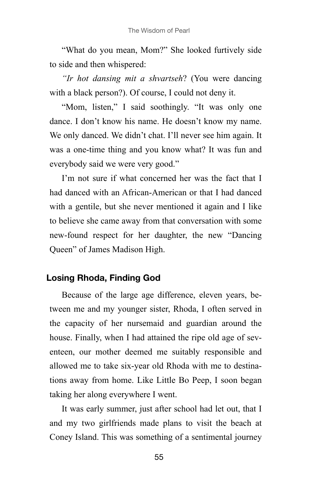"What do you mean, Mom?" She looked furtively side to side and then whispered:

*"Ir hot dansing mit a shvartseh*? (You were dancing with a black person?). Of course, I could not deny it.

"Mom, listen," I said soothingly. "It was only one dance. I don't know his name. He doesn't know my name. We only danced. We didn't chat. I'll never see him again. It was a one-time thing and you know what? It was fun and everybody said we were very good."

I'm not sure if what concerned her was the fact that I had danced with an African-American or that I had danced with a gentile, but she never mentioned it again and I like to believe she came away from that conversation with some new-found respect for her daughter, the new "Dancing Queen" of James Madison High.

## **Losing Rhoda, Finding God**

Because of the large age difference, eleven years, between me and my younger sister, Rhoda, I often served in the capacity of her nursemaid and guardian around the house. Finally, when I had attained the ripe old age of seventeen, our mother deemed me suitably responsible and allowed me to take six-year old Rhoda with me to destinations away from home. Like Little Bo Peep, I soon began taking her along everywhere I went.

It was early summer, just after school had let out, that I and my two girlfriends made plans to visit the beach at Coney Island. This was something of a sentimental journey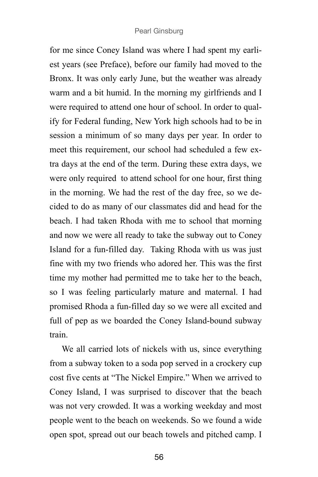for me since Coney Island was where I had spent my earliest years (see Preface), before our family had moved to the Bronx. It was only early June, but the weather was already warm and a bit humid. In the morning my girlfriends and I were required to attend one hour of school. In order to qualify for Federal funding, New York high schools had to be in session a minimum of so many days per year. In order to meet this requirement, our school had scheduled a few extra days at the end of the term. During these extra days, we were only required to attend school for one hour, first thing in the morning. We had the rest of the day free, so we decided to do as many of our classmates did and head for the beach. I had taken Rhoda with me to school that morning and now we were all ready to take the subway out to Coney Island for a fun-filled day. Taking Rhoda with us was just fine with my two friends who adored her. This was the first time my mother had permitted me to take her to the beach, so I was feeling particularly mature and maternal. I had promised Rhoda a fun-filled day so we were all excited and full of pep as we boarded the Coney Island-bound subway train.

We all carried lots of nickels with us, since everything from a subway token to a soda pop served in a crockery cup cost five cents at "The Nickel Empire." When we arrived to Coney Island, I was surprised to discover that the beach was not very crowded. It was a working weekday and most people went to the beach on weekends. So we found a wide open spot, spread out our beach towels and pitched camp. I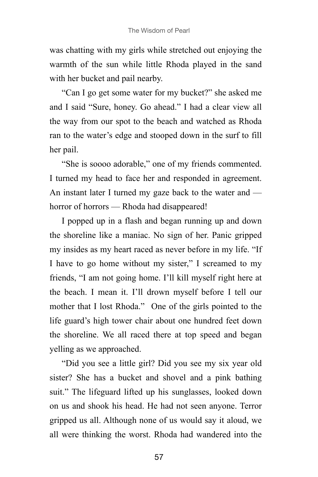was chatting with my girls while stretched out enjoying the warmth of the sun while little Rhoda played in the sand with her bucket and pail nearby.

"Can I go get some water for my bucket?" she asked me and I said "Sure, honey. Go ahead." I had a clear view all the way from our spot to the beach and watched as Rhoda ran to the water's edge and stooped down in the surf to fill her pail.

"She is soooo adorable," one of my friends commented. I turned my head to face her and responded in agreement. An instant later I turned my gaze back to the water and horror of horrors — Rhoda had disappeared!

I popped up in a flash and began running up and down the shoreline like a maniac. No sign of her. Panic gripped my insides as my heart raced as never before in my life. "If I have to go home without my sister," I screamed to my friends, "I am not going home. I'll kill myself right here at the beach. I mean it. I'll drown myself before I tell our mother that I lost Rhoda." One of the girls pointed to the life guard's high tower chair about one hundred feet down the shoreline. We all raced there at top speed and began yelling as we approached.

"Did you see a little girl? Did you see my six year old sister? She has a bucket and shovel and a pink bathing suit." The lifeguard lifted up his sunglasses, looked down on us and shook his head. He had not seen anyone. Terror gripped us all. Although none of us would say it aloud, we all were thinking the worst. Rhoda had wandered into the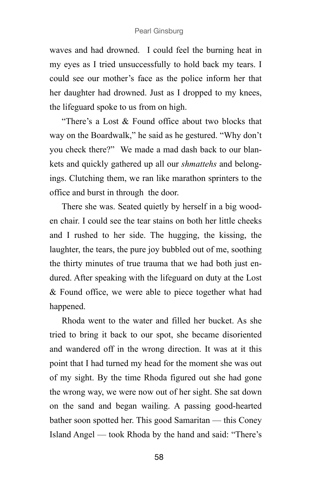waves and had drowned. I could feel the burning heat in my eyes as I tried unsuccessfully to hold back my tears. I could see our mother's face as the police inform her that her daughter had drowned. Just as I dropped to my knees, the lifeguard spoke to us from on high.

"There's a Lost & Found office about two blocks that way on the Boardwalk," he said as he gestured. "Why don't you check there?" We made a mad dash back to our blankets and quickly gathered up all our *shmattehs* and belongings. Clutching them, we ran like marathon sprinters to the office and burst in through the door.

There she was. Seated quietly by herself in a big wooden chair. I could see the tear stains on both her little cheeks and I rushed to her side. The hugging, the kissing, the laughter, the tears, the pure joy bubbled out of me, soothing the thirty minutes of true trauma that we had both just endured. After speaking with the lifeguard on duty at the Lost & Found office, we were able to piece together what had happened.

Rhoda went to the water and filled her bucket. As she tried to bring it back to our spot, she became disoriented and wandered off in the wrong direction. It was at it this point that I had turned my head for the moment she was out of my sight. By the time Rhoda figured out she had gone the wrong way, we were now out of her sight. She sat down on the sand and began wailing. A passing good-hearted bather soon spotted her. This good Samaritan — this Coney Island Angel — took Rhoda by the hand and said: "There's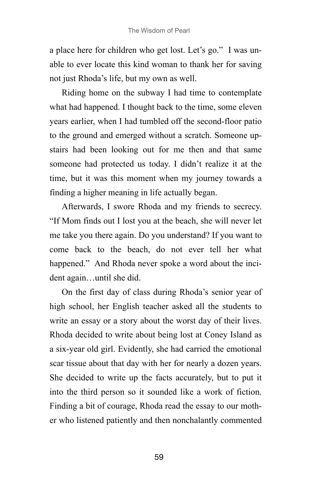a place here for children who get lost. Let's go." I was unable to ever locate this kind woman to thank her for saving not just Rhoda's life, but my own as well.

Riding home on the subway I had time to contemplate what had happened. I thought back to the time, some eleven years earlier, when I had tumbled off the second-floor patio to the ground and emerged without a scratch. Someone upstairs had been looking out for me then and that same someone had protected us today. I didn't realize it at the time, but it was this moment when my journey towards a finding a higher meaning in life actually began.

Afterwards, I swore Rhoda and my friends to secrecy. "If Mom finds out I lost you at the beach, she will never let me take you there again. Do you understand? If you want to come back to the beach, do not ever tell her what happened." And Rhoda never spoke a word about the incident again…until she did.

On the first day of class during Rhoda's senior year of high school, her English teacher asked all the students to write an essay or a story about the worst day of their lives. Rhoda decided to write about being lost at Coney Island as a six-year old girl. Evidently, she had carried the emotional scar tissue about that day with her for nearly a dozen years. She decided to write up the facts accurately, but to put it into the third person so it sounded like a work of fiction. Finding a bit of courage, Rhoda read the essay to our mother who listened patiently and then nonchalantly commented